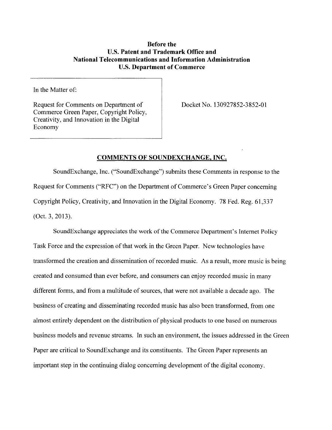## **Before the U.S. Patent and Trademark Office and National Telecommunications and Information Administration U.S. Department of Commerce**

In the Matter of:

Request for Comments on Department of Commerce Green Paper, Copyright Policy, Creativity, and Innovation in the Digital Economy

Docket No. 130927852-3852-01

# **COMMENTS OF SOUNDEXCHANGE, INC.**

SoundExchange, Inc. ("SoundExchange") submits these Comments in response to the Request for Comments ("RFC") on the Department of Commerce's Green Paper concerning Copyright Policy, Creativity, and Innovation in the Digital Economy. 78 Fed. Reg. 61,337 (Oct. 3,2013).

SoundExchange appreciates the work of the Commerce Department's Internet Policy Task Force and the expression of that work in the Green Paper. New technologies have transformed the creation and dissemination of recorded music. As a result, more music is being created and consumed than ever before, and consumers can enjoy recorded music in many different forms, and from a multitude of sources, that were not available a decade ago. The business of creating and disseminating recorded music has also been transformed, from one almost entirely dependent on the distribution of physical products to one based on numerous business models and revenue streams. In such an environment, the issues addressed in the Green Paper are critical to SoundExchange and its constituents. The Green Paper represents an important step in the continuing dialog concerning development of the digital economy.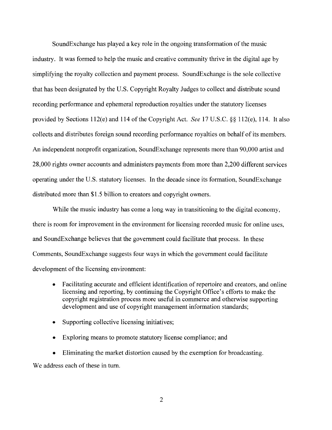SoundExchange has played a key role in the ongoing transformation of the music industry. It was formed to help the music and creative community thrive in the digital age by simplifying the royalty collection and payment process. SoundExchange is the sole collective that has been designated by the U.S. Copyright Royalty Judges to collect and distribute sound recording performance and ephemeral reproduction royalties under the statutory licenses provided by Sections 112(e) and 114 of the Copyright Act. *See* 17 U.S.C. §§ 112(e), 114. It also collects and distributes foreign sound recording performance royalties on behalf of its members. An independent nonprofit organization, SoundExchange represents more than 90,000 artist and 28,000 rights owner accounts and administers payments from more than 2,200 different services operating under the U.S. statutory licenses. In the decade since its formation, SoundExchange distributed more than \$1.5 billion to creators and copyright owners.

While the music industry has come a long way in transitioning to the digital economy, there is room for improvement in the environment for licensing recorded music for online uses, and SoundExchange believes that the government could facilitate that process. In these Comments, SoundExchange suggests four ways in which the government could facilitate development of the licensing environment:

- Facilitating accurate and efficient identification of repertoire and creators, and online licensing and reporting, by continuing the Copyright Office's efforts to make the copyright registration process more useful in commerce and otherwise supporting development and use of copyright management information standards;
- Supporting collective licensing initiatives;
- Exploring means to promote statutory license compliance; and
- Eliminating the market distortion caused by the exemption for broadcasting.

We address each of these in turn.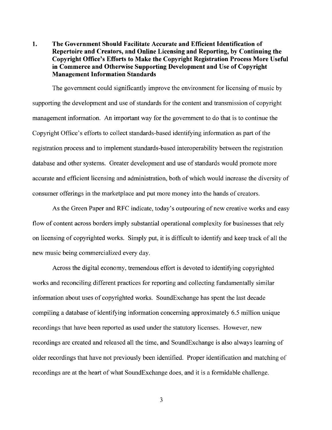**1. The Government Should Facilitate Accurate and Efficient Identification of Repertoire and Creators, and Online Licensing and Reporting, by Continuing the Copyright Office's Efforts to Make the Copyright Registration Process More Useful in Commerce and Otherwise Supporting Development and Use of Copyright Management Information Standards** 

The government could significantly improve the environment for licensing of music by supporting the development and use of standards for the content and transmission of copyright management information. An important way for the government to do that is to continue the Copyright Office's efforts to collect standards-based identifying information as part of the registration process and to implement standards-based interoperability between the registration database and other systems. Greater development and use of standards would promote more accurate and efficient licensing and administration, both of which would increase the diversity of consumer offerings in the marketplace and put more money into the hands of creators.

As the Green Paper and RFC indicate, today's outpouring of new creative works and easy flow of content across borders imply substantial operational complexity for businesses that rely on licensing of copyrighted works. Simply put, it is difficult to identify and keep track of all the new music being commercialized every day.

Across the digital economy, tremendous effort is devoted to identifying copyrighted works and reconciling different practices for reporting and collecting fundamentally similar information about uses of copyrighted works. SoundExchange has spent the last decade compiling a database of identifying information concerning approximately 6.5 million unique recordings that have been reported as used under the statutory licenses. However, new recordings are created and released all the time, and SoundExchange is also always learning of older recordings that have not previously been identified. Proper identification and matching of recordings are at the heart of what SoundExchange does, and it is a formidable challenge.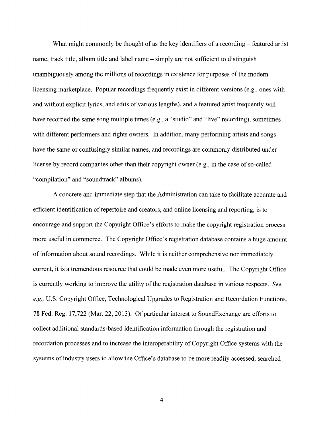What might commonly be thought of as the key identifiers of a recording  $-$  featured artist name, track title, album title and label name – simply are not sufficient to distinguish unambiguously among the millions of recordings in existence for purposes of the modem licensing marketplace. Popular recordings frequently exist in different versions (e.g., ones with and without explicit lyrics, and edits of various lengths), and a featured artist frequently will have recorded the same song multiple times (e.g., a "studio" and "live" recording), sometimes with different performers and rights owners. In addition, many performing artists and songs have the same or confusingly similar names, and recordings are commonly distributed under license by record companies other than their copyright owner (e.g., in the case of so-called "compilation" and "soundtrack" albums).

A concrete and immediate step that the Administration can take to facilitate accurate and efficient identification of repertoire and creators, and online licensing and reporting, is to encourage and support the Copyright Office's efforts to make the copyright registration process more useful in commerce. The Copyright Office's registration database contains a huge amount of information about sound recordings. While it is neither comprehensive nor immediately current, it is a tremendous resource that could be made even more useful. The Copyright Office is currently working to improve the utility of the registration database in various respects. *See, e.g.,* U.S. Copyright Office, Technological Upgrades to Registration and Recordation Functions, 78 Fed. Reg. 17,722 (Mar. 22, 2013). Of particular interest to SoundExchange are efforts to collect additional standards-based identification information through the registration and recordation processes and to increase the interoperability of Copyright Office systems with the systems of industry users to allow the Office's database to be more readily accessed, searched

 $\overline{4}$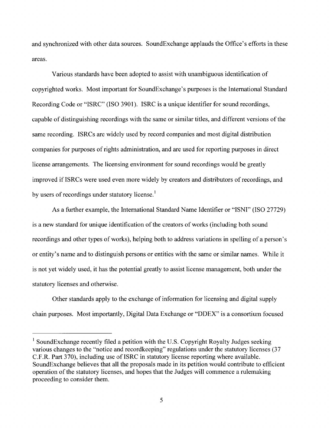and synchronized with other data sources. SoundExchange applauds the Office's efforts in these areas.

Various standards have been adopted to assist with unambiguous identification of copyrighted works. Most important for SoundExchange's purposes is the International Standard Recording Code or "ISRC" (ISO 3901). ISRC is a unique identifier for sound recordings, capable of distinguishing recordings with the same or similar titles, and different versions of the same recording. ISRCs are widely used by record companies and most digital distribution companies for purposes of rights administration, and are used for reporting purposes in direct license arrangements. The licensing environment for sound recordings would be greatly improved if ISRCs were used even more widely by creators and distributors of recordings, and by users of recordings under statutory license.<sup>1</sup>

As a further example, the International Standard Name Identifier or "ISNI" (ISO 27729) is a new standard for unique identification of the creators of works (including both sound recordings and other types of works), helping both to address variations in spelling of a person's or entity's name and to distinguish persons or entities with the same or similar names. While it is not yet widely used, it has the potential greatly to assist license management, both under the statutory licenses and otherwise.

Other standards apply to the exchange of information for licensing and digital supply chain purposes. Most importantly, Digital Data Exchange or "DDEX" is a consortium focused

<sup>&</sup>lt;sup>1</sup> SoundExchange recently filed a petition with the U.S. Copyright Royalty Judges seeking various changes to the "notice and recordkeeping" regulations under the statutory licenses (37 C.F.R. Part 370), including use of ISRC in statutory license reporting where available. SoundExchange believes that all the proposals made in its petition would contribute to efficient operation of the statutory licenses, and hopes that the Judges will commence a rulemaking proceeding to consider them.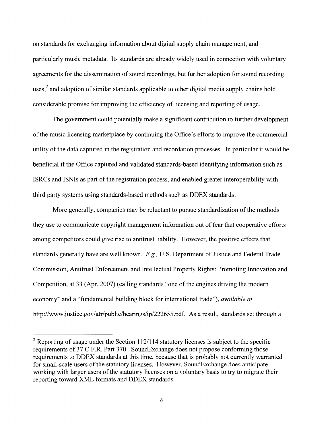on standards for exchanging information about digital supply chain management, and particularly music metadata. Its standards are already widely used in connection with voluntary agreements for the dissemination of sound recordings, but further adoption for sound recording uses,<sup>2</sup> and adoption of similar standards applicable to other digital media supply chains hold considerable promise for improving the efficiency of licensing and reporting of usage.

The government could potentially make a significant contribution to further development of the music licensing marketplace by continuing the Office's efforts to improve the commercial utility of the data captured in the registration and recordation processes. In particular it would be beneficial if the Office captured and validated standards-based identifying information such as ISRCs and ISNIs as part of the registration process, and enabled greater interoperability with third party systems using standards-based methods such as DDEX standards.

More generally, companies may be reluctant to pursue standardization of the methods they use to communicate copyright management information out of fear that cooperative efforts among competitors could give rise to antitrust liability. However, the positive effects that standards generally have are well known. *E.g.,* U.S. Department of Justice and Federal Trade Commission, Antitrust Enforcement and Intellectual Property Rights: Promoting Innovation and Competition, at 33 (Apr. 2007) (calling standards "one of the engines driving the modem economy" and a "fundamental building block for international trade"), *available at*  [http://www.justice.gov/atr/public/hearings/ip/222655.pdf.](http://www.justice.gov/atr/public/hearings/ip/222655.pdf) As a result, standards set through a

<sup>&</sup>lt;sup>2</sup> Reporting of usage under the Section 112/114 statutory licenses is subject to the specific requirements of 37 C.F.R. Part 370. SoundExchange does not propose conforming those requirements to DDEX standards at this time, because that is probably not currently warranted for small-scale users of the statutory licenses. However, SoundExchange does anticipate working with larger users of the statutory licenses on a voluntary basis to try to migrate their reporting toward XML formats and DDEX standards.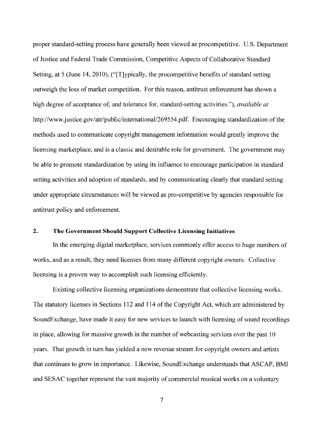proper standard-setting process have generally been viewed as procompetitive. U.S. Department of Justice and Federal Trade Commission, Competitive Aspects of Collaborative Standard Setting, at 5 (June 14, 2010), ("|T]ypically, the procompetitive benefits of standard setting outweigh the loss of market competition. For this reason, antitrust enforcement has shown a high degree of acceptance of, and tolerance for, standard-setting activities."), *available at*  http://www.justice.gov/atr/public/international/269554.pdf. Encouraging standardization of the methods used to communicate copyright management information would greatly improve the licensing marketplace, and is a classic and desirable role for government. The government may be able to promote standardization by using its influence to encourage participation in standard setting activities and adoption of standards, and by communicating clearly that standard setting under appropriate circumstances will be viewed as pro-competitive by agencies responsible for antitrust policy and enforcement.

### 2. The Government Should Support Collective Licensing Initiatives

In the emerging digital marketplace, services commonly offer access to huge numbers of works, and as a result, they need licenses from many different copyright owners. Collective licensing is a proven way to accomplish such licensing efficiently.

Existing collective licensing organizations demonstrate that collective licensing works. The statutory licenses in Sections 112 and 114 of the Copyright Act, which are administered by SoundExchange, have made it easy for new services to launch with licensing of sound recordings in place, allowing for massive growth in the number of webcasting services over the past 10 years. That growth in turn has yielded a new revenue stream for copyright owners and artists that continues to grow in importance. Likewise, SoundExchange understands that ASCAP, BMI and SESAC together represent the vast majority of commercial musical works on a voluntary

 $\overline{7}$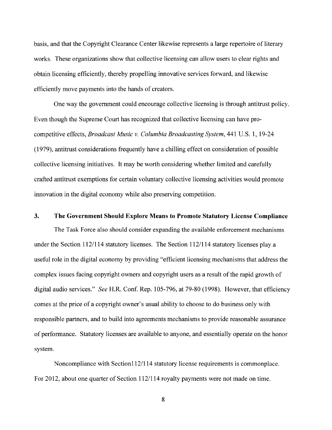basis, and that the Copyright Clearance Center likewise represents a large repertoire of literary works. These organizations show that collective licensing can allow users to clear rights and obtain licensing efficiently, thereby propelling innovative services forward, and likewise efficiently move payments into the hands of creators.

One way the government could encourage collective licensing is through antitrust policy. Even though the Supreme Court has recognized that collective licensing can have procompetitive effects, *Broadcast Music v. Columbia Broadcasting System,* 441 U.S. 1, 19-24 (1979), antitrust considerations frequently have a chilling effect on consideration of possible collective licensing initiatives. It may be worth considering whether limited and carefully crafted antitrust exemptions for certain voluntary collective licensing activities would promote innovation in the digital economy while also preserving competition.

#### **3. The Government Should Explore Means to Promote Statutory License Compliance**

The Task Force also should consider expanding the available enforcement mechanisms under the Section 112/114 statutory licenses. The Section 112/114 statutory licenses play a useful role in the digital economy by providing "efficient licensing mechanisms that address the complex issues facing copyright owners and copyright users as a result of the rapid growth of digital audio services." *See* H.R. Conf. Rep. 105-796, at 79-80 (1998). However, that efficiency comes at the price of a copyright owner's usual ability to choose to do business only with responsible partners, and to build into agreements mechanisms to provide reasonable assurance of performance. Statutory licenses are available to anyone, and essentially operate on the honor system.

Noncompliance with Section112/114 statutory license requirements is commonplace. For 2012, about one quarter of Section 112/114 royalty payments were not made on time.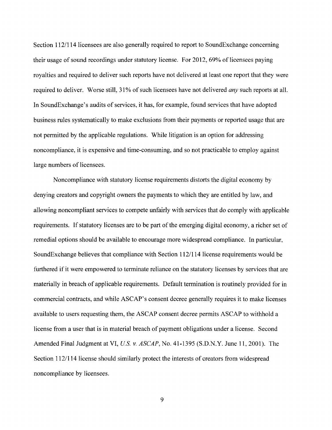Section 112/114 licensees are also generally required to report to SoundExchange concerning their usage of sound recordings under statutory license. For 2012, 69% of licensees paying royalties and required to deliver such reports have not delivered at least one report that they were required to deliver. Worse still, 31% of such licensees have not delivered *any* such reports at all. In SoundExchange's audits of services, it has, for example, found services that have adopted business rules systematically to make exclusions from their payments or reported usage that are not permitted by the applicable regulations. While litigation is an option for addressing noncompliance, it is expensive and time-consuming, and so not practicable to employ against large numbers of licensees.

Noncompliance with statutory license requirements distorts the digital economy by denying creators and copyright owners the payments to which they are entitled by law, and allowing noncompliant services to compete unfairly with services that do comply with applicable requirements. If statutory licenses are to be part of the emerging digital economy, a richer set of remedial options should be available to encourage more widespread compliance. In particular, SoundExchange believes that compliance with Section 112/114 license requirements would be furthered if it were empowered to terminate reliance on the statutory licenses by services that are materially in breach of applicable requirements. Default termination is routinely provided for in commercial contracts, and while ASCAP's consent decree generally requires it to make licenses available to users requesting them, the ASCAP consent decree permits ASCAP to withhold a license from a user that is in material breach of payment obligations under a license. Second Amended Final Judgment at VI, *U.S. v. ASCAP,* No. 41-1395 (S.D.N.Y. June 11, 2001). The Section 112/114 license should similarly protect the interests of creators from widespread noncompliance by licensees.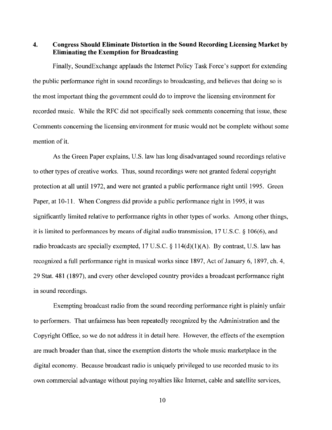**4. Congress Should Eliminate Distortion in the Sound Recording Licensing Market by Eliminating the Exemption for Broadcasting** 

Finally, SoundExchange applauds the Internet Policy Task Force's support for extending the public performance right in sound recordings to broadcasting, and believes that doing so is the most important thing the government could do to improve the licensing environment for recorded music. While the RFC did not specifically seek comments concerning that issue, these Comments concerning the licensing environment for music would not be complete without some mention of it.

As the Green Paper explains, U.S. law has long disadvantaged sound recordings relative to other types of creative works. Thus, sound recordings were not granted federal copyright protection at all until 1972, and were not granted a public performance right until 1995. Green Paper, at 10-11. When Congress did provide a public performance right in 1995, it was significantly limited relative to performance rights in other types of works. Among other things, it is limited to performances by means of digital audio transmission, 17 U.S.C. § 106(6), and radio broadcasts are specially exempted, 17 U.S.C.  $\S$  114(d)(1)(A). By contrast, U.S. law has recognized a full performance right in musical works since 1897, Act of January 6, 1897, ch. 4, 29 Stat. 481 (1897), and every other developed country provides a broadcast performance right in sound recordings.

Exempting broadcast radio from the sound recording performance right is plainly unfair to performers. That unfairness has been repeatedly recognized by the Administration and the Copyright Office, so we do not address it in detail here. However, the effects of the exemption are much broader than that, since the exemption distorts the whole music marketplace in the digital economy. Because broadcast radio is uniquely privileged to use recorded music to its own commercial advantage without paying royalties like Internet, cable and satellite services,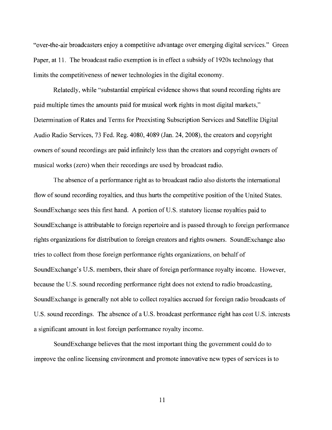"over-the-air broadcasters enjoy a competitive advantage over emerging digital services." Green Paper, at 11. The broadcast radio exemption is in effect a subsidy of 1920s technology that limits the competitiveness of newer technologies in the digital economy.

Relatedly, while "substantial empirical evidence shows that sound recording rights are paid multiple times the amounts paid for musical work rights in most digital markets," Determination of Rates and Terms for Preexisting Subscription Services and Satellite Digital Audio Radio Services, 73 Fed. Reg. 4080, 4089 (Jan. 24, 2008), the creators and copyright owners of sound recordings are paid infinitely less than the creators and copyright owners of musical works (zero) when their recordings are used by broadcast radio.

The absence of a performance right as to broadcast radio also distorts the international flow of sound recording royalties, and thus hurts the competitive position of the United States. SoundExchange sees this first hand. A portion of U.S. statutory license royalties paid to SoundExchange is attributable to foreign repertoire and is passed through to foreign performance rights organizations for distribution to foreign creators and rights owners. SoundExchange also tries to collect from those foreign performance rights organizations, on behalf of SoundExchange's U.S. members, their share of foreign performance royalty income. However, because the U.S. sound recording performance right does not extend to radio broadcasting, SoundExchange is generally not able to collect royalties accrued for foreign radio broadcasts of U.S. sound recordings. The absence of a U.S. broadcast performance right has cost U.S. interests a significant amount in lost foreign performance royalty income.

SoundExchange believes that the most important thing the government could do to improve the online licensing environment and promote innovative new types of services is to